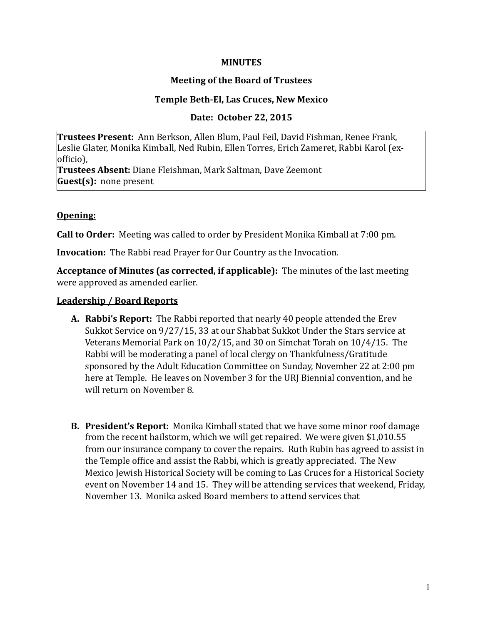#### **MINUTES**

## **Meeting of the Board of Trustees**

#### **Temple Beth-El, Las Cruces, New Mexico**

#### Date: October 22, 2015

**Trustees Present:** Ann Berkson, Allen Blum, Paul Feil, David Fishman, Renee Frank, Leslie Glater, Monika Kimball, Ned Rubin, Ellen Torres, Erich Zameret, Rabbi Karol (exofficio),

**Trustees Absent:** Diane Fleishman, Mark Saltman, Dave Zeemont **Guest(s):** none present

#### **Opening:**

**Call to Order:** Meeting was called to order by President Monika Kimball at 7:00 pm.

**Invocation:** The Rabbi read Prayer for Our Country as the Invocation.

**Acceptance of Minutes (as corrected, if applicable):** The minutes of the last meeting were approved as amended earlier.

#### **Leadership / Board Reports**

- **A.** Rabbi's Report: The Rabbi reported that nearly 40 people attended the Erev Sukkot Service on 9/27/15, 33 at our Shabbat Sukkot Under the Stars service at Veterans Memorial Park on  $10/2/15$ , and 30 on Simchat Torah on  $10/4/15$ . The Rabbi will be moderating a panel of local clergy on Thankfulness/Gratitude sponsored by the Adult Education Committee on Sunday, November 22 at 2:00 pm here at Temple. He leaves on November 3 for the URJ Biennial convention, and he will return on November 8.
- **B. President's Report:** Monika Kimball stated that we have some minor roof damage from the recent hailstorm, which we will get repaired. We were given \$1,010.55 from our insurance company to cover the repairs. Ruth Rubin has agreed to assist in the Temple office and assist the Rabbi, which is greatly appreciated. The New Mexico Jewish Historical Society will be coming to Las Cruces for a Historical Society event on November 14 and 15. They will be attending services that weekend, Friday, November 13. Monika asked Board members to attend services that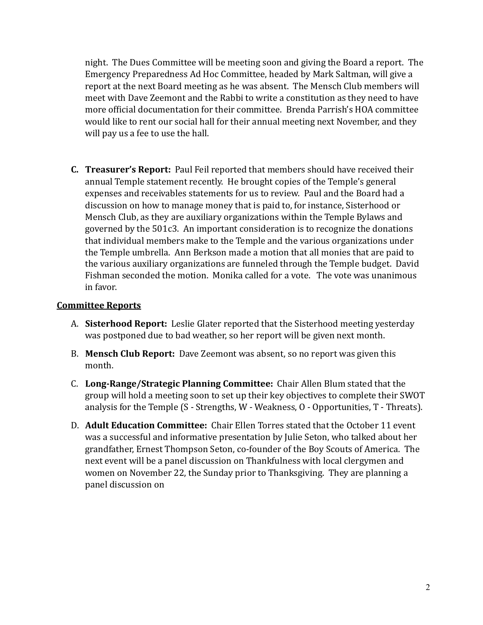night. The Dues Committee will be meeting soon and giving the Board a report. The Emergency Preparedness Ad Hoc Committee, headed by Mark Saltman, will give a report at the next Board meeting as he was absent. The Mensch Club members will meet with Dave Zeemont and the Rabbi to write a constitution as they need to have more official documentation for their committee. Brenda Parrish's HOA committee would like to rent our social hall for their annual meeting next November, and they will pay us a fee to use the hall.

**C. Treasurer's Report:** Paul Feil reported that members should have received their annual Temple statement recently. He brought copies of the Temple's general expenses and receivables statements for us to review. Paul and the Board had a discussion on how to manage money that is paid to, for instance, Sisterhood or Mensch Club, as they are auxiliary organizations within the Temple Bylaws and governed by the  $501c3$ . An important consideration is to recognize the donations that individual members make to the Temple and the various organizations under the Temple umbrella. Ann Berkson made a motion that all monies that are paid to the various auxiliary organizations are funneled through the Temple budget. David Fishman seconded the motion. Monika called for a vote. The vote was unanimous in favor.

### **Committee Reports**

- A. Sisterhood Report: Leslie Glater reported that the Sisterhood meeting yesterday was postponed due to bad weather, so her report will be given next month.
- B. **Mensch Club Report:** Dave Zeemont was absent, so no report was given this month.
- **C. Long-Range/Strategic Planning Committee:** Chair Allen Blum stated that the group will hold a meeting soon to set up their key objectives to complete their SWOT analysis for the Temple  $(S -$  Strengths, W - Weakness,  $O -$  Opportunities,  $T -$ Threats).
- D. **Adult Education Committee:** Chair Ellen Torres stated that the October 11 event was a successful and informative presentation by Julie Seton, who talked about her grandfather, Ernest Thompson Seton, co-founder of the Boy Scouts of America. The next event will be a panel discussion on Thankfulness with local clergymen and women on November 22, the Sunday prior to Thanksgiving. They are planning a panel discussion on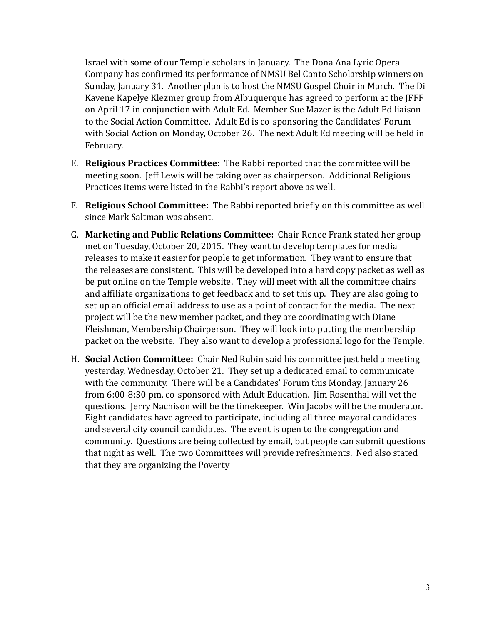Israel with some of our Temple scholars in January. The Dona Ana Lyric Opera Company has confirmed its performance of NMSU Bel Canto Scholarship winners on Sunday, January 31. Another plan is to host the NMSU Gospel Choir in March. The Di Kavene Kapelye Klezmer group from Albuquerque has agreed to perform at the JFFF on April 17 in conjunction with Adult Ed. Member Sue Mazer is the Adult Ed liaison to the Social Action Committee. Adult Ed is co-sponsoring the Candidates' Forum with Social Action on Monday, October 26. The next Adult Ed meeting will be held in February. 

- E. **Religious Practices Committee:** The Rabbi reported that the committee will be meeting soon. Jeff Lewis will be taking over as chairperson. Additional Religious Practices items were listed in the Rabbi's report above as well.
- F. **Religious School Committee:** The Rabbi reported briefly on this committee as well since Mark Saltman was absent.
- G. Marketing and Public Relations Committee: Chair Renee Frank stated her group met on Tuesday, October 20, 2015. They want to develop templates for media releases to make it easier for people to get information. They want to ensure that the releases are consistent. This will be developed into a hard copy packet as well as be put online on the Temple website. They will meet with all the committee chairs and affiliate organizations to get feedback and to set this up. They are also going to set up an official email address to use as a point of contact for the media. The next project will be the new member packet, and they are coordinating with Diane Fleishman, Membership Chairperson. They will look into putting the membership packet on the website. They also want to develop a professional logo for the Temple.
- H. **Social Action Committee:** Chair Ned Rubin said his committee just held a meeting yesterday, Wednesday, October 21. They set up a dedicated email to communicate with the community. There will be a Candidates' Forum this Monday, January 26 from 6:00-8:30 pm, co-sponsored with Adult Education. Iim Rosenthal will vet the questions. Jerry Nachison will be the timekeeper. Win Jacobs will be the moderator. Eight candidates have agreed to participate, including all three mayoral candidates and several city council candidates. The event is open to the congregation and community. Questions are being collected by email, but people can submit questions that night as well. The two Committees will provide refreshments. Ned also stated that they are organizing the Poverty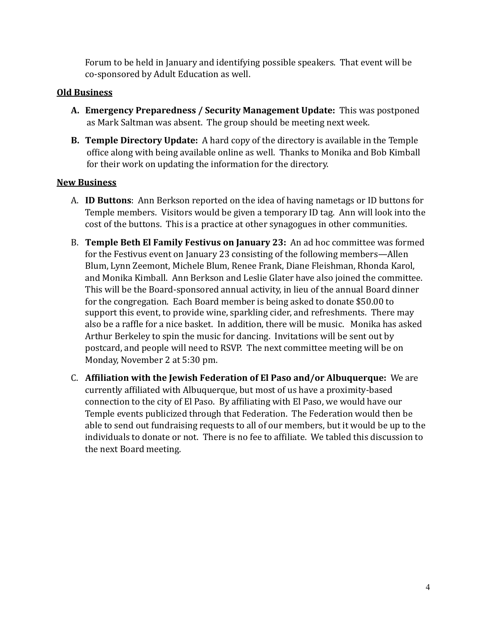Forum to be held in January and identifying possible speakers. That event will be co-sponsored by Adult Education as well.

## **Old Business**

- A. Emergency Preparedness / Security Management Update: This was postponed as Mark Saltman was absent. The group should be meeting next week.
- **B. Temple Directory Update:** A hard copy of the directory is available in the Temple office along with being available online as well. Thanks to Monika and Bob Kimball for their work on updating the information for the directory.

### **New Business**

- A. **ID Buttons**: Ann Berkson reported on the idea of having nametags or ID buttons for Temple members. Visitors would be given a temporary ID tag. Ann will look into the cost of the buttons. This is a practice at other synagogues in other communities.
- B. **Temple Beth El Family Festivus on January 23:** An ad hoc committee was formed for the Festivus event on January 23 consisting of the following members—Allen Blum, Lynn Zeemont, Michele Blum, Renee Frank, Diane Fleishman, Rhonda Karol, and Monika Kimball. Ann Berkson and Leslie Glater have also joined the committee. This will be the Board-sponsored annual activity, in lieu of the annual Board dinner for the congregation. Each Board member is being asked to donate \$50.00 to support this event, to provide wine, sparkling cider, and refreshments. There may also be a raffle for a nice basket. In addition, there will be music. Monika has asked Arthur Berkeley to spin the music for dancing. Invitations will be sent out by postcard, and people will need to RSVP. The next committee meeting will be on Monday, November 2 at 5:30 pm.
- C. Affiliation with the Jewish Federation of El Paso and/or Albuquerque: We are currently affiliated with Albuquerque, but most of us have a proximity-based connection to the city of El Paso. By affiliating with El Paso, we would have our Temple events publicized through that Federation. The Federation would then be able to send out fundraising requests to all of our members, but it would be up to the individuals to donate or not. There is no fee to affiliate. We tabled this discussion to the next Board meeting.